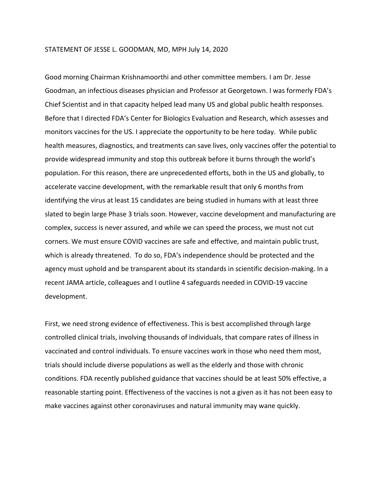# STATEMENT OF JESSE L. GOODMAN, MD, MPH July 14, 2020

Good morning Chairman Krishnamoorthi and other committee members. I am Dr. Jesse Goodman, an infectious diseases physician and Professor at Georgetown. I was formerly FDA's Chief Scientist and in that capacity helped lead many US and global public health responses. Before that I directed FDA's Center for Biologics Evaluation and Research, which assesses and monitors vaccines for the US. I appreciate the opportunity to be here today. While public health measures, diagnostics, and treatments can save lives, only vaccines offer the potential to provide widespread immunity and stop this outbreak before it burns through the world's population. For this reason, there are unprecedented efforts, both in the US and globally, to accelerate vaccine development, with the remarkable result that only 6 months from identifying the virus at least 15 candidates are being studied in humans with at least three slated to begin large Phase 3 trials soon. However, vaccine development and manufacturing are complex, success is never assured, and while we can speed the process, we must not cut corners. We must ensure COVID vaccines are safe and effective, and maintain public trust, which is already threatened. To do so, FDA's independence should be protected and the agency must uphold and be transparent about its standards in scientific decision-making. In a recent JAMA article, colleagues and I outline 4 safeguards needed in COVID-19 vaccine development.

First, we need strong evidence of effectiveness. This is best accomplished through large controlled clinical trials, involving thousands of individuals, that compare rates of illness in vaccinated and control individuals. To ensure vaccines work in those who need them most, trials should include diverse populations as well as the elderly and those with chronic conditions. FDA recently published guidance that vaccines should be at least 50% effective, a reasonable starting point. Effectiveness of the vaccines is not a given as it has not been easy to make vaccines against other coronaviruses and natural immunity may wane quickly.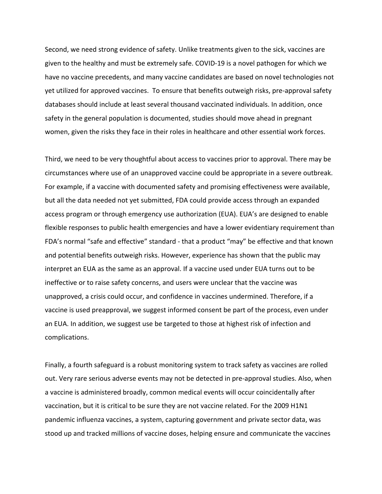Second, we need strong evidence of safety. Unlike treatments given to the sick, vaccines are given to the healthy and must be extremely safe. COVID-19 is a novel pathogen for which we have no vaccine precedents, and many vaccine candidates are based on novel technologies not yet utilized for approved vaccines. To ensure that benefits outweigh risks, pre-approval safety databases should include at least several thousand vaccinated individuals. In addition, once safety in the general population is documented, studies should move ahead in pregnant women, given the risks they face in their roles in healthcare and other essential work forces.

Third, we need to be very thoughtful about access to vaccines prior to approval. There may be circumstances where use of an unapproved vaccine could be appropriate in a severe outbreak. For example, if a vaccine with documented safety and promising effectiveness were available, but all the data needed not yet submitted, FDA could provide access through an expanded access program or through emergency use authorization (EUA). EUA's are designed to enable flexible responses to public health emergencies and have a lower evidentiary requirement than FDA's normal "safe and effective" standard - that a product "may" be effective and that known and potential benefits outweigh risks. However, experience has shown that the public may interpret an EUA as the same as an approval. If a vaccine used under EUA turns out to be ineffective or to raise safety concerns, and users were unclear that the vaccine was unapproved, a crisis could occur, and confidence in vaccines undermined. Therefore, if a vaccine is used preapproval, we suggest informed consent be part of the process, even under an EUA. In addition, we suggest use be targeted to those at highest risk of infection and complications.

Finally, a fourth safeguard is a robust monitoring system to track safety as vaccines are rolled out. Very rare serious adverse events may not be detected in pre-approval studies. Also, when a vaccine is administered broadly, common medical events will occur coincidentally after vaccination, but it is critical to be sure they are not vaccine related. For the 2009 H1N1 pandemic influenza vaccines, a system, capturing government and private sector data, was stood up and tracked millions of vaccine doses, helping ensure and communicate the vaccines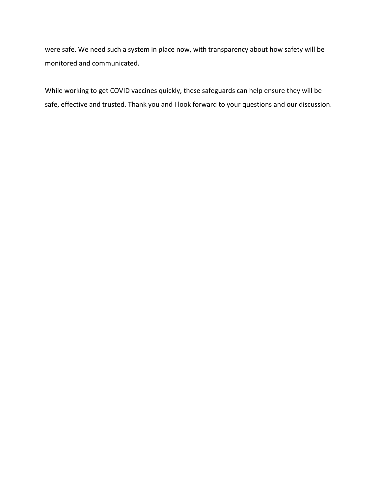were safe. We need such a system in place now, with transparency about how safety will be monitored and communicated.

While working to get COVID vaccines quickly, these safeguards can help ensure they will be safe, effective and trusted. Thank you and I look forward to your questions and our discussion.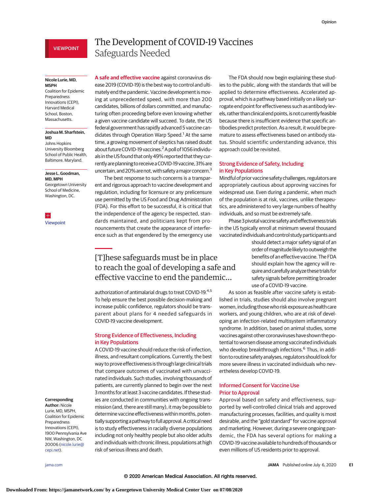# VIEWPOINT

#### **Nicole Lurie, MD, MSPH**

Coalition for Epidemic Preparedness Innovations (CEPI), Harvard Medical School, Boston, Massachusetts.

#### **Joshua M. Sharfstein, MD**

Johns Hopkins University Bloomberg School of Public Health, Baltimore, Maryland.

#### **Jesse L. Goodman, MD, MPH**

Georgetown University School of Medicine, Washington, DC.

 $+$ [Viewpoint](https://jamanetwork.com/journals/jama/fullarticle/10.1001/jama.2020.12190?utm_campaign=articlePDF%26utm_medium=articlePDFlink%26utm_source=articlePDF%26utm_content=jama.2020.12461)

# The Development of COVID-19 Vaccines Safeguards Needed

**A safe and effective vaccine** against coronavirus disease 2019 (COVID-19) is the best way to control and ultimately end the pandemic. Vaccine development is moving at unprecedented speed, with more than 200 candidates, billions of dollars committed, and manufacturing often proceeding before even knowing whether a given vaccine candidate will succeed. To date, the US federal government has rapidly advanced 5 vaccine candidates through Operation Warp Speed.<sup>1</sup> At the same time, a growing movement of skeptics has raised doubt about future COVID-19 vaccines.<sup>2</sup> A poll of 1056 individuals in the US found that only 49% reported that they currently are planning to receive a COVID-19 vaccine, 31% are uncertain, and 20% are not, with safety a major concern.<sup>3</sup>

The best response to such concerns is a transparent and rigorous approach to vaccine development and regulation, including for licensure or any prelicensure use permitted by the US Food and Drug Administration (FDA). For this effort to be successful, it is critical that the independence of the agency be respected, standards maintained, and politicians kept from pronouncements that create the appearance of interference such as that engendered by the emergency use

# [T]hese safeguards must be in place to reach the goal of developing a safe and effective vaccine to end the pandemic…

authorization of antimalarial drugs to treat COVID-19.<sup>4,5</sup> To help ensure the best possible decision-making and increase public confidence, regulators should be transparent about plans for 4 needed safeguards in COVID-19 vaccine development.

## Strong Evidence of Effectiveness, Including in Key Populations

A COVID-19 vaccine should reduce the risk of infection, illness, and resultant complications. Currently, the best way to prove effectiveness is through large clinical trials that compare outcomes of vaccinated with unvaccinated individuals. Such studies, involving thousands of patients, are currently planned to begin over the next 3 months for at least 3 vaccine candidates. If these studies are conducted in communities with ongoing transmission (and, there are still many), it may be possible to determine vaccine effectiveness within months, potentially supportinga pathway to fullapproval.A critical need is to study effectiveness in racially diverse populations including not only healthy people but also older adults and individuals with chronic illness, populations at high risk of serious illness and death.

The FDA should now begin explaining these studies to the public, along with the standards that will be applied to determine effectiveness. Accelerated approval, which is a pathway based initially on a likely surrogate end point for effectiveness such as antibody levels, rather than clinicalend points, is not currently feasible because there is insufficient evidence that specific antibodies predict protection. As a result, it would be premature to assess effectiveness based on antibody status. Should scientific understanding advance, this approach could be revisited.

## Strong Evidence of Safety, Including in Key Populations

Mindful of prior vaccine safety challenges, regulators are appropriately cautious about approving vaccines for widespread use. Even during a pandemic, when much of the population is at risk, vaccines, unlike therapeutics, are administered to very large numbers of healthy individuals, and so must be extremely safe.

Phase 3 pivotal vaccine safety and effectiveness trials in the US typically enroll at minimum several thousand vaccinated individuals and control study participants and

> should detect a major safety signal of an order ofmagnitude likely to outweigh the benefits of an effective vaccine. The FDA should explain how the agency will require and carefully analyze these trials for safety signals before permitting broader use of a COVID-19 vaccine.

As soon as feasible after vaccine safety is established in trials, studies should also involve pregnant women, including thosewho riskexposure as health care workers, and young children, who are at risk of developing an infection-related multisystem inflammatory syndrome. In addition, based on animal studies, some vaccines against other coronaviruses have shown the potential to worsen disease among vaccinated individuals who develop breakthrough infections.<sup>6</sup> Thus, in addition to routine safety analyses, regulators should look for more severe illness in vaccinated individuals who nevertheless develop COVID-19.

## Informed Consent for Vaccine Use Prior to Approval

Approval based on safety and effectiveness, supported by well-controlled clinical trials and approved manufacturing processes, facilities, and quality is most desirable, and the "gold standard" for vaccine approval and marketing. However, during a severe ongoing pandemic, the FDA has several options for making a COVID-19 vaccine available to hundreds of thousands or even millions of US residents prior to approval.

#### **Corresponding Author:** Nicole

Lurie, MD, MSPH, Coalition for Epidemic Preparedness Innovations (CEPI), 1900 Pennsylvania Ave NW, Washington, DC 20006 [\(nicole.lurie@](mailto:nicole.lurie@cepi.net) [cepi.net\)](mailto:nicole.lurie@cepi.net).